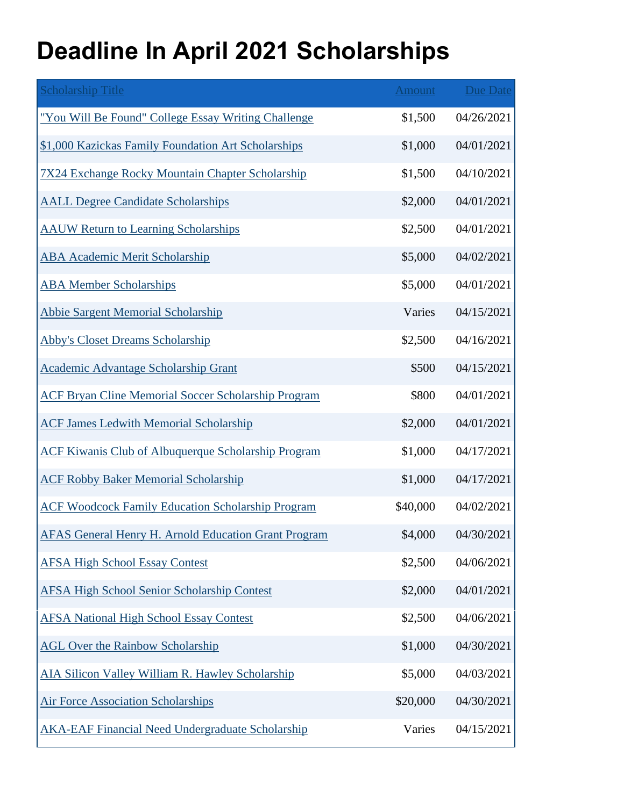## **Deadline In April 2021 Scholarships**

| <b>Scholarship Title</b>                                    | Amount   | <b>Due Date</b> |
|-------------------------------------------------------------|----------|-----------------|
| "You Will Be Found" College Essay Writing Challenge         | \$1,500  | 04/26/2021      |
| \$1,000 Kazickas Family Foundation Art Scholarships         | \$1,000  | 04/01/2021      |
| <b>7X24 Exchange Rocky Mountain Chapter Scholarship</b>     | \$1,500  | 04/10/2021      |
| <b>AALL Degree Candidate Scholarships</b>                   | \$2,000  | 04/01/2021      |
| <b>AAUW Return to Learning Scholarships</b>                 | \$2,500  | 04/01/2021      |
| <b>ABA Academic Merit Scholarship</b>                       | \$5,000  | 04/02/2021      |
| <b>ABA Member Scholarships</b>                              | \$5,000  | 04/01/2021      |
| <b>Abbie Sargent Memorial Scholarship</b>                   | Varies   | 04/15/2021      |
| <b>Abby's Closet Dreams Scholarship</b>                     | \$2,500  | 04/16/2021      |
| <b>Academic Advantage Scholarship Grant</b>                 | \$500    | 04/15/2021      |
| <b>ACF Bryan Cline Memorial Soccer Scholarship Program</b>  | \$800    | 04/01/2021      |
| <b>ACF James Ledwith Memorial Scholarship</b>               | \$2,000  | 04/01/2021      |
| <b>ACF Kiwanis Club of Albuquerque Scholarship Program</b>  | \$1,000  | 04/17/2021      |
| <b>ACF Robby Baker Memorial Scholarship</b>                 | \$1,000  | 04/17/2021      |
| <b>ACF Woodcock Family Education Scholarship Program</b>    | \$40,000 | 04/02/2021      |
| <b>AFAS General Henry H. Arnold Education Grant Program</b> | \$4,000  | 04/30/2021      |
| <b>AFSA High School Essay Contest</b>                       | \$2,500  | 04/06/2021      |
| <b>AFSA High School Senior Scholarship Contest</b>          | \$2,000  | 04/01/2021      |
| <b>AFSA National High School Essay Contest</b>              | \$2,500  | 04/06/2021      |
| <b>AGL Over the Rainbow Scholarship</b>                     | \$1,000  | 04/30/2021      |
| AIA Silicon Valley William R. Hawley Scholarship            | \$5,000  | 04/03/2021      |
| <b>Air Force Association Scholarships</b>                   | \$20,000 | 04/30/2021      |
| <b>AKA-EAF Financial Need Undergraduate Scholarship</b>     | Varies   | 04/15/2021      |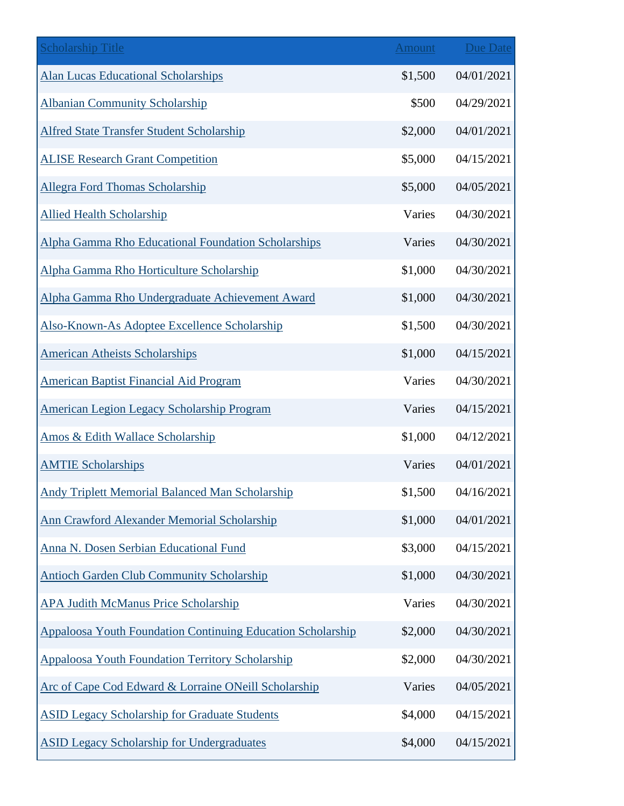| <b>Scholarship Title</b>                                           | <b>Amount</b> | <b>Due Date</b> |
|--------------------------------------------------------------------|---------------|-----------------|
| <b>Alan Lucas Educational Scholarships</b>                         | \$1,500       | 04/01/2021      |
| <b>Albanian Community Scholarship</b>                              | \$500         | 04/29/2021      |
| <b>Alfred State Transfer Student Scholarship</b>                   | \$2,000       | 04/01/2021      |
| <b>ALISE Research Grant Competition</b>                            | \$5,000       | 04/15/2021      |
| <b>Allegra Ford Thomas Scholarship</b>                             | \$5,000       | 04/05/2021      |
| <b>Allied Health Scholarship</b>                                   | Varies        | 04/30/2021      |
| Alpha Gamma Rho Educational Foundation Scholarships                | Varies        | 04/30/2021      |
| Alpha Gamma Rho Horticulture Scholarship                           | \$1,000       | 04/30/2021      |
| Alpha Gamma Rho Undergraduate Achievement Award                    | \$1,000       | 04/30/2021      |
| Also-Known-As Adoptee Excellence Scholarship                       | \$1,500       | 04/30/2021      |
| <b>American Atheists Scholarships</b>                              | \$1,000       | 04/15/2021      |
| <b>American Baptist Financial Aid Program</b>                      | Varies        | 04/30/2021      |
| American Legion Legacy Scholarship Program                         | Varies        | 04/15/2021      |
| Amos & Edith Wallace Scholarship                                   | \$1,000       | 04/12/2021      |
| <b>AMTIE Scholarships</b>                                          | Varies        | 04/01/2021      |
| <b>Andy Triplett Memorial Balanced Man Scholarship</b>             | \$1,500       | 04/16/2021      |
| <b>Ann Crawford Alexander Memorial Scholarship</b>                 | \$1,000       | 04/01/2021      |
| Anna N. Dosen Serbian Educational Fund                             | \$3,000       | 04/15/2021      |
| <b>Antioch Garden Club Community Scholarship</b>                   | \$1,000       | 04/30/2021      |
| <b>APA Judith McManus Price Scholarship</b>                        | Varies        | 04/30/2021      |
| <b>Appaloosa Youth Foundation Continuing Education Scholarship</b> | \$2,000       | 04/30/2021      |
| <b>Appaloosa Youth Foundation Territory Scholarship</b>            | \$2,000       | 04/30/2021      |
| Arc of Cape Cod Edward & Lorraine ONeill Scholarship               | Varies        | 04/05/2021      |
| <b>ASID Legacy Scholarship for Graduate Students</b>               | \$4,000       | 04/15/2021      |
| <b>ASID Legacy Scholarship for Undergraduates</b>                  | \$4,000       | 04/15/2021      |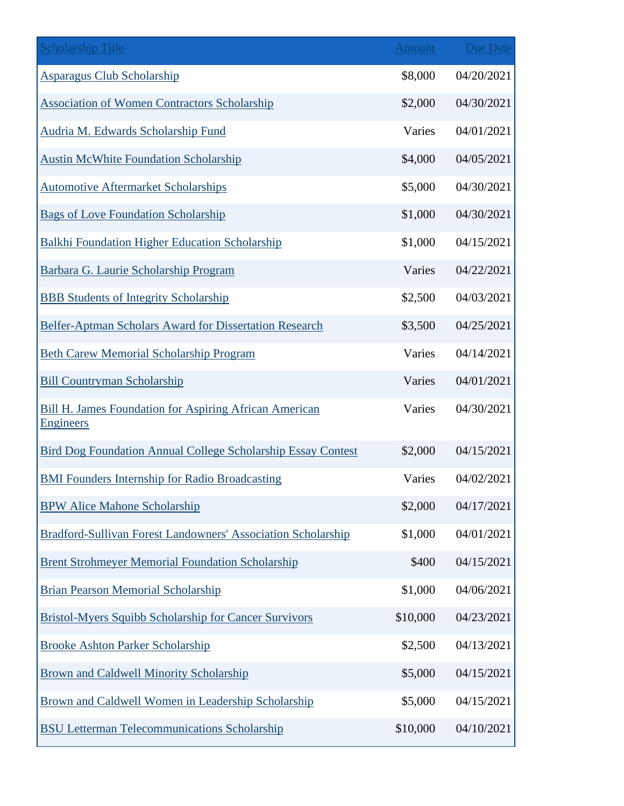| <b>Scholarship Title</b>                                                          | <b>Amount</b> | <b>Due Date</b> |
|-----------------------------------------------------------------------------------|---------------|-----------------|
| <b>Asparagus Club Scholarship</b>                                                 | \$8,000       | 04/20/2021      |
| <b>Association of Women Contractors Scholarship</b>                               | \$2,000       | 04/30/2021      |
| Audria M. Edwards Scholarship Fund                                                | Varies        | 04/01/2021      |
| <b>Austin McWhite Foundation Scholarship</b>                                      | \$4,000       | 04/05/2021      |
| <b>Automotive Aftermarket Scholarships</b>                                        | \$5,000       | 04/30/2021      |
| <b>Bags of Love Foundation Scholarship</b>                                        | \$1,000       | 04/30/2021      |
| <b>Balkhi Foundation Higher Education Scholarship</b>                             | \$1,000       | 04/15/2021      |
| Barbara G. Laurie Scholarship Program                                             | Varies        | 04/22/2021      |
| <b>BBB Students of Integrity Scholarship</b>                                      | \$2,500       | 04/03/2021      |
| Belfer-Aptman Scholars Award for Dissertation Research                            | \$3,500       | 04/25/2021      |
| <b>Beth Carew Memorial Scholarship Program</b>                                    | Varies        | 04/14/2021      |
| <b>Bill Countryman Scholarship</b>                                                | Varies        | 04/01/2021      |
| <b>Bill H. James Foundation for Aspiring African American</b><br><b>Engineers</b> | Varies        | 04/30/2021      |
| <b>Bird Dog Foundation Annual College Scholarship Essay Contest</b>               | \$2,000       | 04/15/2021      |
| <b>BMI Founders Internship for Radio Broadcasting</b>                             | Varies        | 04/02/2021      |
| <b>BPW Alice Mahone Scholarship</b>                                               | \$2,000       | 04/17/2021      |
| Bradford-Sullivan Forest Landowners' Association Scholarship                      | \$1,000       | 04/01/2021      |
| <b>Brent Strohmeyer Memorial Foundation Scholarship</b>                           | \$400         | 04/15/2021      |
| <b>Brian Pearson Memorial Scholarship</b>                                         | \$1,000       | 04/06/2021      |
| <b>Bristol-Myers Squibb Scholarship for Cancer Survivors</b>                      | \$10,000      | 04/23/2021      |
| <b>Brooke Ashton Parker Scholarship</b>                                           | \$2,500       | 04/13/2021      |
| <b>Brown and Caldwell Minority Scholarship</b>                                    | \$5,000       | 04/15/2021      |
| Brown and Caldwell Women in Leadership Scholarship                                | \$5,000       | 04/15/2021      |
| <b>BSU Letterman Telecommunications Scholarship</b>                               | \$10,000      | 04/10/2021      |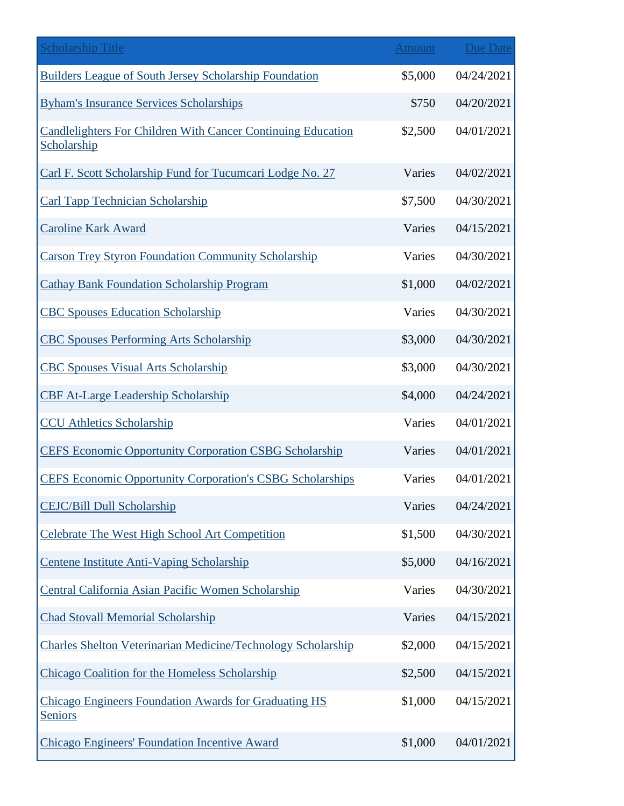| <b>Scholarship Title</b>                                                       | <b>Amount</b> | <b>Due Date</b> |
|--------------------------------------------------------------------------------|---------------|-----------------|
| <b>Builders League of South Jersey Scholarship Foundation</b>                  | \$5,000       | 04/24/2021      |
| <b>Byham's Insurance Services Scholarships</b>                                 | \$750         | 04/20/2021      |
| Candlelighters For Children With Cancer Continuing Education<br>Scholarship    | \$2,500       | 04/01/2021      |
| Carl F. Scott Scholarship Fund for Tucumcari Lodge No. 27                      | Varies        | 04/02/2021      |
| <b>Carl Tapp Technician Scholarship</b>                                        | \$7,500       | 04/30/2021      |
| <b>Caroline Kark Award</b>                                                     | Varies        | 04/15/2021      |
| <b>Carson Trey Styron Foundation Community Scholarship</b>                     | Varies        | 04/30/2021      |
| <b>Cathay Bank Foundation Scholarship Program</b>                              | \$1,000       | 04/02/2021      |
| <b>CBC Spouses Education Scholarship</b>                                       | Varies        | 04/30/2021      |
| <b>CBC Spouses Performing Arts Scholarship</b>                                 | \$3,000       | 04/30/2021      |
| <b>CBC Spouses Visual Arts Scholarship</b>                                     | \$3,000       | 04/30/2021      |
| <b>CBF At-Large Leadership Scholarship</b>                                     | \$4,000       | 04/24/2021      |
| <b>CCU</b> Athletics Scholarship                                               | Varies        | 04/01/2021      |
| <b>CEFS Economic Opportunity Corporation CSBG Scholarship</b>                  | Varies        | 04/01/2021      |
| <b>CEFS Economic Opportunity Corporation's CSBG Scholarships</b>               | Varies        | 04/01/2021      |
| <b>CEJC/Bill Dull Scholarship</b>                                              | Varies        | 04/24/2021      |
| Celebrate The West High School Art Competition                                 | \$1,500       | 04/30/2021      |
| Centene Institute Anti-Vaping Scholarship                                      | \$5,000       | 04/16/2021      |
| Central California Asian Pacific Women Scholarship                             | Varies        | 04/30/2021      |
| <b>Chad Stovall Memorial Scholarship</b>                                       | Varies        | 04/15/2021      |
| <b>Charles Shelton Veterinarian Medicine/Technology Scholarship</b>            | \$2,000       | 04/15/2021      |
| Chicago Coalition for the Homeless Scholarship                                 | \$2,500       | 04/15/2021      |
| <b>Chicago Engineers Foundation Awards for Graduating HS</b><br><b>Seniors</b> | \$1,000       | 04/15/2021      |
| <b>Chicago Engineers' Foundation Incentive Award</b>                           | \$1,000       | 04/01/2021      |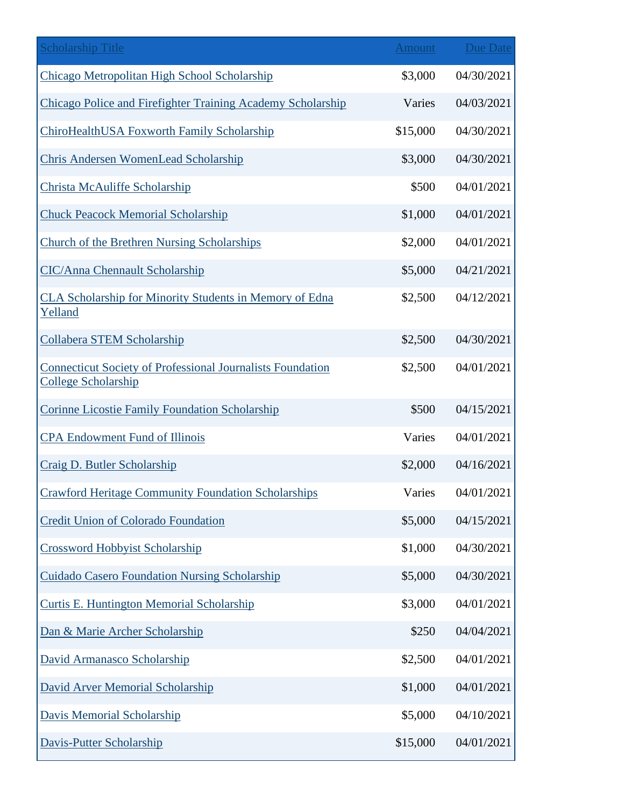| <b>Scholarship Title</b>                                                                        | <b>Amount</b> | <b>Due Date</b> |
|-------------------------------------------------------------------------------------------------|---------------|-----------------|
| Chicago Metropolitan High School Scholarship                                                    | \$3,000       | 04/30/2021      |
| Chicago Police and Firefighter Training Academy Scholarship                                     | Varies        | 04/03/2021      |
| ChiroHealthUSA Foxworth Family Scholarship                                                      | \$15,000      | 04/30/2021      |
| <b>Chris Andersen WomenLead Scholarship</b>                                                     | \$3,000       | 04/30/2021      |
| <b>Christa McAuliffe Scholarship</b>                                                            | \$500         | 04/01/2021      |
| <b>Chuck Peacock Memorial Scholarship</b>                                                       | \$1,000       | 04/01/2021      |
| Church of the Brethren Nursing Scholarships                                                     | \$2,000       | 04/01/2021      |
| <b>CIC/Anna Chennault Scholarship</b>                                                           | \$5,000       | 04/21/2021      |
| CLA Scholarship for Minority Students in Memory of Edna<br>Yelland                              | \$2,500       | 04/12/2021      |
| <b>Collabera STEM Scholarship</b>                                                               | \$2,500       | 04/30/2021      |
| <b>Connecticut Society of Professional Journalists Foundation</b><br><b>College Scholarship</b> | \$2,500       | 04/01/2021      |
| <b>Corinne Licostie Family Foundation Scholarship</b>                                           | \$500         | 04/15/2021      |
| <b>CPA Endowment Fund of Illinois</b>                                                           | Varies        | 04/01/2021      |
| Craig D. Butler Scholarship                                                                     | \$2,000       | 04/16/2021      |
| <b>Crawford Heritage Community Foundation Scholarships</b>                                      | Varies        | 04/01/2021      |
| <b>Credit Union of Colorado Foundation</b>                                                      | \$5,000       | 04/15/2021      |
| <b>Crossword Hobbyist Scholarship</b>                                                           | \$1,000       | 04/30/2021      |
| <b>Cuidado Casero Foundation Nursing Scholarship</b>                                            | \$5,000       | 04/30/2021      |
| <b>Curtis E. Huntington Memorial Scholarship</b>                                                | \$3,000       | 04/01/2021      |
| Dan & Marie Archer Scholarship                                                                  | \$250         | 04/04/2021      |
| David Armanasco Scholarship                                                                     | \$2,500       | 04/01/2021      |
| David Arver Memorial Scholarship                                                                | \$1,000       | 04/01/2021      |
| <b>Davis Memorial Scholarship</b>                                                               | \$5,000       | 04/10/2021      |
| Davis-Putter Scholarship                                                                        | \$15,000      | 04/01/2021      |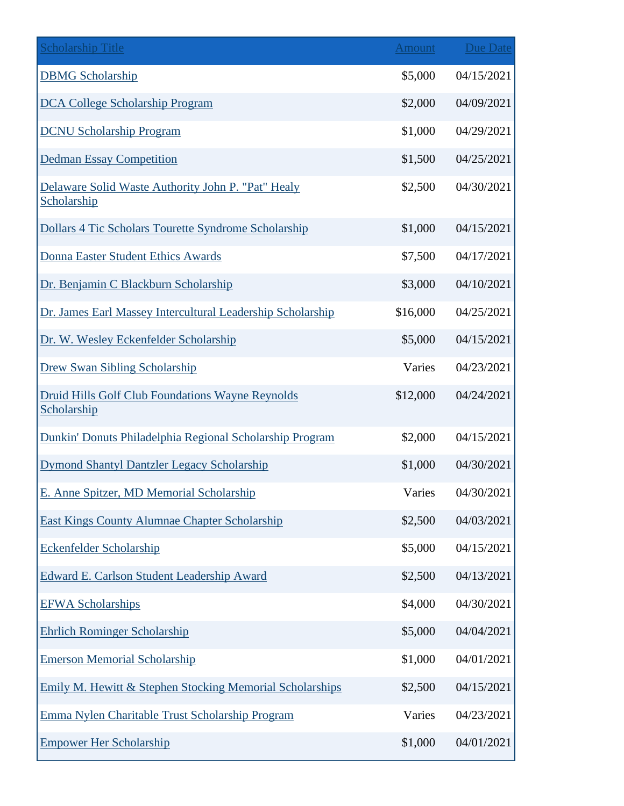| <b>Scholarship Title</b>                                          | <b>Amount</b> | Due Date   |
|-------------------------------------------------------------------|---------------|------------|
| <b>DBMG</b> Scholarship                                           | \$5,000       | 04/15/2021 |
| <b>DCA College Scholarship Program</b>                            | \$2,000       | 04/09/2021 |
| <b>DCNU Scholarship Program</b>                                   | \$1,000       | 04/29/2021 |
| <b>Dedman Essay Competition</b>                                   | \$1,500       | 04/25/2021 |
| Delaware Solid Waste Authority John P. "Pat" Healy<br>Scholarship | \$2,500       | 04/30/2021 |
| Dollars 4 Tic Scholars Tourette Syndrome Scholarship              | \$1,000       | 04/15/2021 |
| <b>Donna Easter Student Ethics Awards</b>                         | \$7,500       | 04/17/2021 |
| Dr. Benjamin C Blackburn Scholarship                              | \$3,000       | 04/10/2021 |
| Dr. James Earl Massey Intercultural Leadership Scholarship        | \$16,000      | 04/25/2021 |
| Dr. W. Wesley Eckenfelder Scholarship                             | \$5,000       | 04/15/2021 |
| <b>Drew Swan Sibling Scholarship</b>                              | Varies        | 04/23/2021 |
| Druid Hills Golf Club Foundations Wayne Reynolds<br>Scholarship   | \$12,000      | 04/24/2021 |
| Dunkin' Donuts Philadelphia Regional Scholarship Program          | \$2,000       | 04/15/2021 |
| Dymond Shantyl Dantzler Legacy Scholarship                        | \$1,000       | 04/30/2021 |
| E. Anne Spitzer, MD Memorial Scholarship                          | Varies        | 04/30/2021 |
| <b>East Kings County Alumnae Chapter Scholarship</b>              | \$2,500       | 04/03/2021 |
| <b>Eckenfelder Scholarship</b>                                    | \$5,000       | 04/15/2021 |
| <b>Edward E. Carlson Student Leadership Award</b>                 | \$2,500       | 04/13/2021 |
| <b>EFWA Scholarships</b>                                          | \$4,000       | 04/30/2021 |
| <b>Ehrlich Rominger Scholarship</b>                               | \$5,000       | 04/04/2021 |
| <b>Emerson Memorial Scholarship</b>                               | \$1,000       | 04/01/2021 |
| Emily M. Hewitt & Stephen Stocking Memorial Scholarships          | \$2,500       | 04/15/2021 |
| Emma Nylen Charitable Trust Scholarship Program                   | Varies        | 04/23/2021 |
| <b>Empower Her Scholarship</b>                                    | \$1,000       | 04/01/2021 |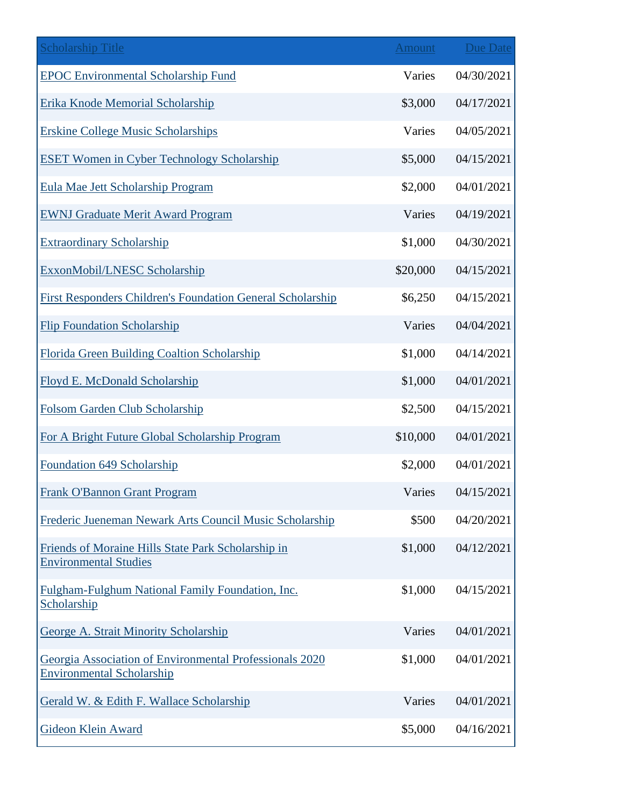| <b>Scholarship Title</b>                                                                    | Amount   | <b>Due Date</b> |
|---------------------------------------------------------------------------------------------|----------|-----------------|
| <b>EPOC Environmental Scholarship Fund</b>                                                  | Varies   | 04/30/2021      |
| Erika Knode Memorial Scholarship                                                            | \$3,000  | 04/17/2021      |
| <b>Erskine College Music Scholarships</b>                                                   | Varies   | 04/05/2021      |
| <b>ESET Women in Cyber Technology Scholarship</b>                                           | \$5,000  | 04/15/2021      |
| Eula Mae Jett Scholarship Program                                                           | \$2,000  | 04/01/2021      |
| <b>EWNJ Graduate Merit Award Program</b>                                                    | Varies   | 04/19/2021      |
| <b>Extraordinary Scholarship</b>                                                            | \$1,000  | 04/30/2021      |
| ExxonMobil/LNESC Scholarship                                                                | \$20,000 | 04/15/2021      |
| <b>First Responders Children's Foundation General Scholarship</b>                           | \$6,250  | 04/15/2021      |
| <b>Flip Foundation Scholarship</b>                                                          | Varies   | 04/04/2021      |
| Florida Green Building Coaltion Scholarship                                                 | \$1,000  | 04/14/2021      |
| Floyd E. McDonald Scholarship                                                               | \$1,000  | 04/01/2021      |
| Folsom Garden Club Scholarship                                                              | \$2,500  | 04/15/2021      |
| For A Bright Future Global Scholarship Program                                              | \$10,000 | 04/01/2021      |
| Foundation 649 Scholarship                                                                  | \$2,000  | 04/01/2021      |
| <b>Frank O'Bannon Grant Program</b>                                                         | Varies   | 04/15/2021      |
| Frederic Jueneman Newark Arts Council Music Scholarship                                     | \$500    | 04/20/2021      |
| Friends of Moraine Hills State Park Scholarship in<br><b>Environmental Studies</b>          | \$1,000  | 04/12/2021      |
| Fulgham-Fulghum National Family Foundation, Inc.<br>Scholarship                             | \$1,000  | 04/15/2021      |
| George A. Strait Minority Scholarship                                                       | Varies   | 04/01/2021      |
| Georgia Association of Environmental Professionals 2020<br><b>Environmental Scholarship</b> | \$1,000  | 04/01/2021      |
| Gerald W. & Edith F. Wallace Scholarship                                                    | Varies   | 04/01/2021      |
| <b>Gideon Klein Award</b>                                                                   | \$5,000  | 04/16/2021      |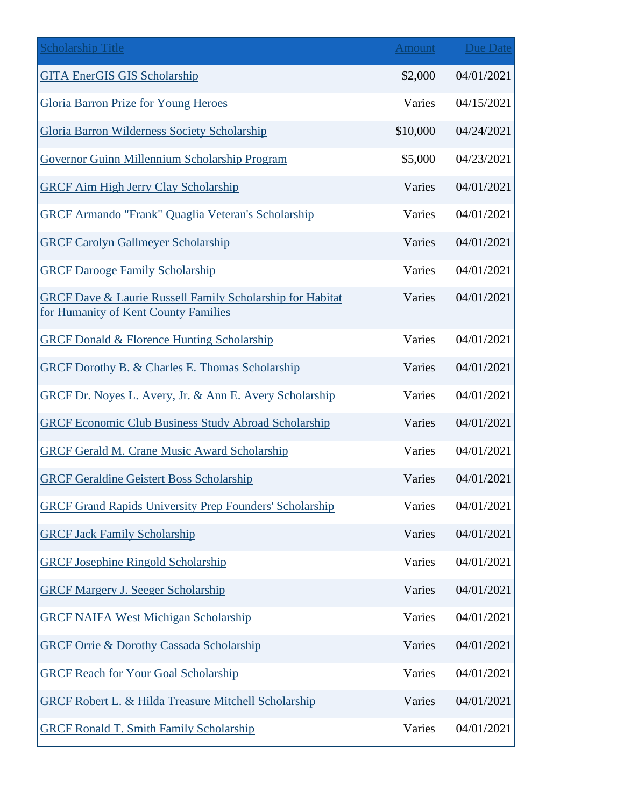| <b>Scholarship Title</b>                                                                          | <b>Amount</b> | Due Date   |
|---------------------------------------------------------------------------------------------------|---------------|------------|
| <b>GITA EnerGIS GIS Scholarship</b>                                                               | \$2,000       | 04/01/2021 |
| <b>Gloria Barron Prize for Young Heroes</b>                                                       | Varies        | 04/15/2021 |
| Gloria Barron Wilderness Society Scholarship                                                      | \$10,000      | 04/24/2021 |
| Governor Guinn Millennium Scholarship Program                                                     | \$5,000       | 04/23/2021 |
| <b>GRCF Aim High Jerry Clay Scholarship</b>                                                       | Varies        | 04/01/2021 |
| <b>GRCF Armando "Frank" Quaglia Veteran's Scholarship</b>                                         | Varies        | 04/01/2021 |
| <b>GRCF Carolyn Gallmeyer Scholarship</b>                                                         | Varies        | 04/01/2021 |
| <b>GRCF Darooge Family Scholarship</b>                                                            | Varies        | 04/01/2021 |
| GRCF Dave & Laurie Russell Family Scholarship for Habitat<br>for Humanity of Kent County Families | Varies        | 04/01/2021 |
| <b>GRCF Donald &amp; Florence Hunting Scholarship</b>                                             | Varies        | 04/01/2021 |
| <b>GRCF Dorothy B. &amp; Charles E. Thomas Scholarship</b>                                        | Varies        | 04/01/2021 |
| GRCF Dr. Noyes L. Avery, Jr. & Ann E. Avery Scholarship                                           | Varies        | 04/01/2021 |
| <b>GRCF Economic Club Business Study Abroad Scholarship</b>                                       | Varies        | 04/01/2021 |
| <b>GRCF Gerald M. Crane Music Award Scholarship</b>                                               | Varies        | 04/01/2021 |
| <b>GRCF Geraldine Geistert Boss Scholarship</b>                                                   | Varies        | 04/01/2021 |
| <b>GRCF Grand Rapids University Prep Founders' Scholarship</b>                                    | Varies        | 04/01/2021 |
| <b>GRCF Jack Family Scholarship</b>                                                               | Varies        | 04/01/2021 |
| <b>GRCF Josephine Ringold Scholarship</b>                                                         | Varies        | 04/01/2021 |
| <b>GRCF Margery J. Seeger Scholarship</b>                                                         | Varies        | 04/01/2021 |
| <b>GRCF NAIFA West Michigan Scholarship</b>                                                       | Varies        | 04/01/2021 |
| <b>GRCF Orrie &amp; Dorothy Cassada Scholarship</b>                                               | Varies        | 04/01/2021 |
| <b>GRCF Reach for Your Goal Scholarship</b>                                                       | Varies        | 04/01/2021 |
| GRCF Robert L. & Hilda Treasure Mitchell Scholarship                                              | Varies        | 04/01/2021 |
| <b>GRCF Ronald T. Smith Family Scholarship</b>                                                    | Varies        | 04/01/2021 |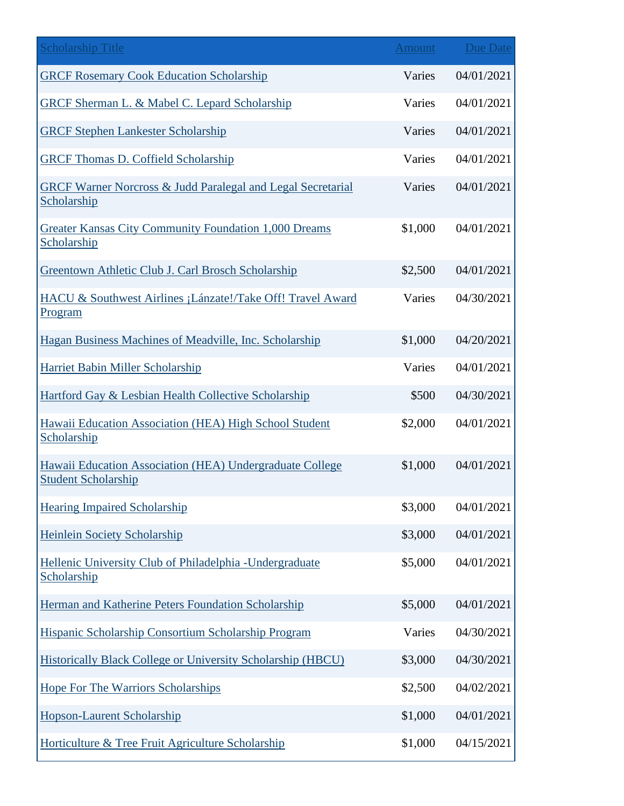| <b>Scholarship Title</b>                                                               | Amount  | Due Date   |
|----------------------------------------------------------------------------------------|---------|------------|
| <b>GRCF Rosemary Cook Education Scholarship</b>                                        | Varies  | 04/01/2021 |
| GRCF Sherman L. & Mabel C. Lepard Scholarship                                          | Varies  | 04/01/2021 |
| <b>GRCF Stephen Lankester Scholarship</b>                                              | Varies  | 04/01/2021 |
| <b>GRCF Thomas D. Coffield Scholarship</b>                                             | Varies  | 04/01/2021 |
| <b>GRCF Warner Norcross &amp; Judd Paralegal and Legal Secretarial</b><br>Scholarship  | Varies  | 04/01/2021 |
| Greater Kansas City Community Foundation 1,000 Dreams<br>Scholarship                   | \$1,000 | 04/01/2021 |
| Greentown Athletic Club J. Carl Brosch Scholarship                                     | \$2,500 | 04/01/2021 |
| HACU & Southwest Airlines ¡Lánzate!/Take Off! Travel Award<br>Program                  | Varies  | 04/30/2021 |
| Hagan Business Machines of Meadville, Inc. Scholarship                                 | \$1,000 | 04/20/2021 |
| Harriet Babin Miller Scholarship                                                       | Varies  | 04/01/2021 |
| Hartford Gay & Lesbian Health Collective Scholarship                                   | \$500   | 04/30/2021 |
| Hawaii Education Association (HEA) High School Student<br>Scholarship                  | \$2,000 | 04/01/2021 |
| Hawaii Education Association (HEA) Undergraduate College<br><b>Student Scholarship</b> | \$1,000 | 04/01/2021 |
| <b>Hearing Impaired Scholarship</b>                                                    | \$3,000 | 04/01/2021 |
| <b>Heinlein Society Scholarship</b>                                                    | \$3,000 | 04/01/2021 |
| Hellenic University Club of Philadelphia - Undergraduate<br>Scholarship                | \$5,000 | 04/01/2021 |
| Herman and Katherine Peters Foundation Scholarship                                     | \$5,000 | 04/01/2021 |
| Hispanic Scholarship Consortium Scholarship Program                                    | Varies  | 04/30/2021 |
| <b>Historically Black College or University Scholarship (HBCU)</b>                     | \$3,000 | 04/30/2021 |
| <b>Hope For The Warriors Scholarships</b>                                              | \$2,500 | 04/02/2021 |
| Hopson-Laurent Scholarship                                                             | \$1,000 | 04/01/2021 |
| Horticulture & Tree Fruit Agriculture Scholarship                                      | \$1,000 | 04/15/2021 |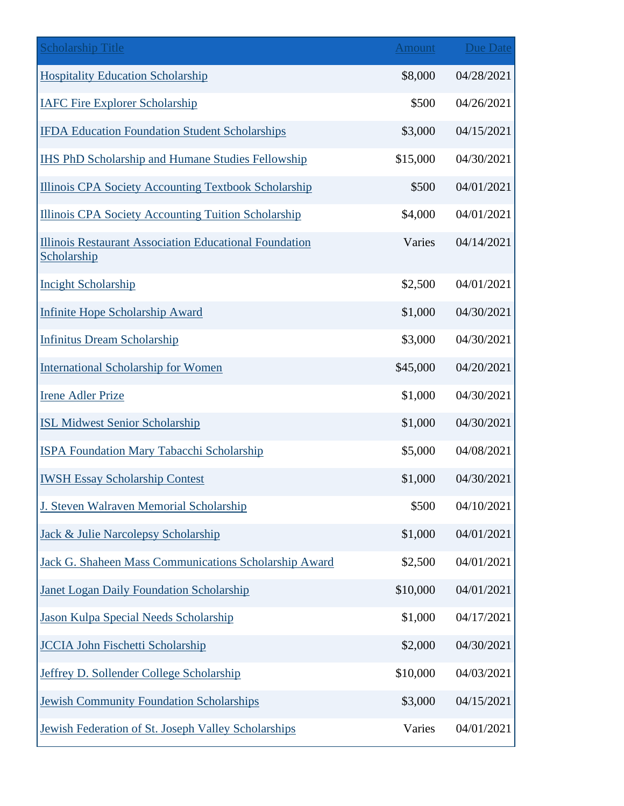| <b>Scholarship Title</b>                                              | <b>Amount</b> | <b>Due Date</b> |
|-----------------------------------------------------------------------|---------------|-----------------|
| <b>Hospitality Education Scholarship</b>                              | \$8,000       | 04/28/2021      |
| <b>IAFC Fire Explorer Scholarship</b>                                 | \$500         | 04/26/2021      |
| <b>IFDA Education Foundation Student Scholarships</b>                 | \$3,000       | 04/15/2021      |
| <b>IHS PhD Scholarship and Humane Studies Fellowship</b>              | \$15,000      | 04/30/2021      |
| <b>Illinois CPA Society Accounting Textbook Scholarship</b>           | \$500         | 04/01/2021      |
| <b>Illinois CPA Society Accounting Tuition Scholarship</b>            | \$4,000       | 04/01/2021      |
| Illinois Restaurant Association Educational Foundation<br>Scholarship | Varies        | 04/14/2021      |
| <b>Incight Scholarship</b>                                            | \$2,500       | 04/01/2021      |
| <b>Infinite Hope Scholarship Award</b>                                | \$1,000       | 04/30/2021      |
| <b>Infinitus Dream Scholarship</b>                                    | \$3,000       | 04/30/2021      |
| <b>International Scholarship for Women</b>                            | \$45,000      | 04/20/2021      |
| <b>Irene Adler Prize</b>                                              | \$1,000       | 04/30/2021      |
| <b>ISL Midwest Senior Scholarship</b>                                 | \$1,000       | 04/30/2021      |
| <b>ISPA Foundation Mary Tabacchi Scholarship</b>                      | \$5,000       | 04/08/2021      |
| <b>IWSH Essay Scholarship Contest</b>                                 | \$1,000       | 04/30/2021      |
| J. Steven Walraven Memorial Scholarship                               | \$500         | 04/10/2021      |
| <b>Jack &amp; Julie Narcolepsy Scholarship</b>                        | \$1,000       | 04/01/2021      |
| Jack G. Shaheen Mass Communications Scholarship Award                 | \$2,500       | 04/01/2021      |
| <b>Janet Logan Daily Foundation Scholarship</b>                       | \$10,000      | 04/01/2021      |
| Jason Kulpa Special Needs Scholarship                                 | \$1,000       | 04/17/2021      |
| <b>JCCIA John Fischetti Scholarship</b>                               | \$2,000       | 04/30/2021      |
| Jeffrey D. Sollender College Scholarship                              | \$10,000      | 04/03/2021      |
| <b>Jewish Community Foundation Scholarships</b>                       | \$3,000       | 04/15/2021      |
| Jewish Federation of St. Joseph Valley Scholarships                   | Varies        | 04/01/2021      |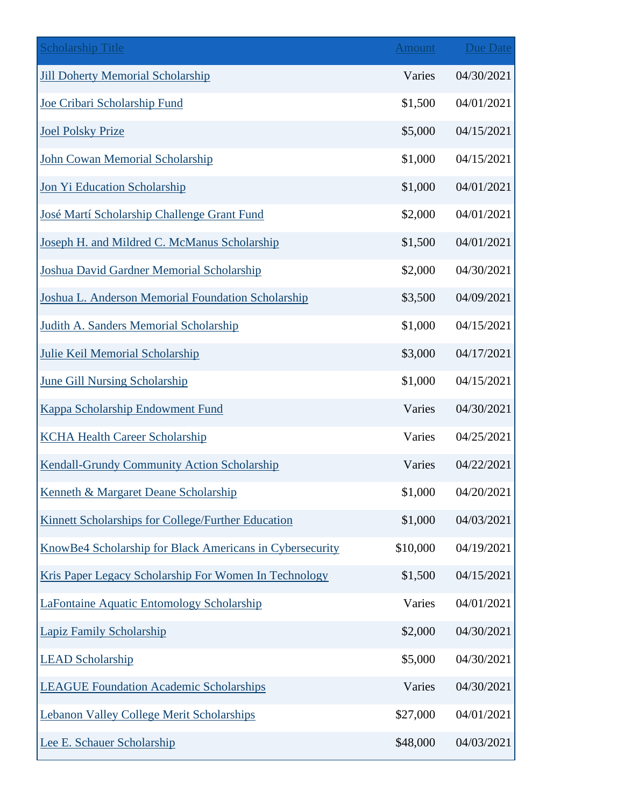| <b>Scholarship Title</b>                                 | <b>Amount</b> | Due Date   |
|----------------------------------------------------------|---------------|------------|
| <b>Jill Doherty Memorial Scholarship</b>                 | Varies        | 04/30/2021 |
| Joe Cribari Scholarship Fund                             | \$1,500       | 04/01/2021 |
| <b>Joel Polsky Prize</b>                                 | \$5,000       | 04/15/2021 |
| <b>John Cowan Memorial Scholarship</b>                   | \$1,000       | 04/15/2021 |
| Jon Yi Education Scholarship                             | \$1,000       | 04/01/2021 |
| José Martí Scholarship Challenge Grant Fund              | \$2,000       | 04/01/2021 |
| Joseph H. and Mildred C. McManus Scholarship             | \$1,500       | 04/01/2021 |
| Joshua David Gardner Memorial Scholarship                | \$2,000       | 04/30/2021 |
| Joshua L. Anderson Memorial Foundation Scholarship       | \$3,500       | 04/09/2021 |
| Judith A. Sanders Memorial Scholarship                   | \$1,000       | 04/15/2021 |
| <b>Julie Keil Memorial Scholarship</b>                   | \$3,000       | 04/17/2021 |
| <b>June Gill Nursing Scholarship</b>                     | \$1,000       | 04/15/2021 |
| Kappa Scholarship Endowment Fund                         | Varies        | 04/30/2021 |
| <b>KCHA Health Career Scholarship</b>                    | Varies        | 04/25/2021 |
| Kendall-Grundy Community Action Scholarship              | Varies        | 04/22/2021 |
| <b>Kenneth &amp; Margaret Deane Scholarship</b>          | \$1,000       | 04/20/2021 |
| Kinnett Scholarships for College/Further Education       | \$1,000       | 04/03/2021 |
| KnowBe4 Scholarship for Black Americans in Cybersecurity | \$10,000      | 04/19/2021 |
| Kris Paper Legacy Scholarship For Women In Technology    | \$1,500       | 04/15/2021 |
| LaFontaine Aquatic Entomology Scholarship                | Varies        | 04/01/2021 |
| <b>Lapiz Family Scholarship</b>                          | \$2,000       | 04/30/2021 |
| <b>LEAD Scholarship</b>                                  | \$5,000       | 04/30/2021 |
| <b>LEAGUE Foundation Academic Scholarships</b>           | Varies        | 04/30/2021 |
| <b>Lebanon Valley College Merit Scholarships</b>         | \$27,000      | 04/01/2021 |
| Lee E. Schauer Scholarship                               | \$48,000      | 04/03/2021 |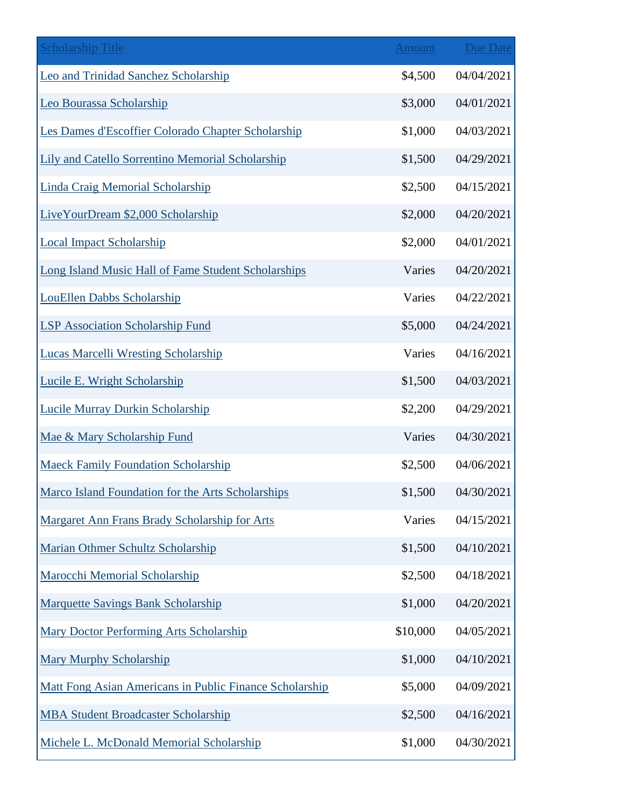| <b>Scholarship Title</b>                                 | <b>Amount</b> | <b>Due Date</b> |
|----------------------------------------------------------|---------------|-----------------|
| Leo and Trinidad Sanchez Scholarship                     | \$4,500       | 04/04/2021      |
| Leo Bourassa Scholarship                                 | \$3,000       | 04/01/2021      |
| Les Dames d'Escoffier Colorado Chapter Scholarship       | \$1,000       | 04/03/2021      |
| Lily and Catello Sorrentino Memorial Scholarship         | \$1,500       | 04/29/2021      |
| <b>Linda Craig Memorial Scholarship</b>                  | \$2,500       | 04/15/2021      |
| LiveYourDream \$2,000 Scholarship                        | \$2,000       | 04/20/2021      |
| <b>Local Impact Scholarship</b>                          | \$2,000       | 04/01/2021      |
| Long Island Music Hall of Fame Student Scholarships      | Varies        | 04/20/2021      |
| <b>LouEllen Dabbs Scholarship</b>                        | Varies        | 04/22/2021      |
| <b>LSP Association Scholarship Fund</b>                  | \$5,000       | 04/24/2021      |
| <b>Lucas Marcelli Wresting Scholarship</b>               | Varies        | 04/16/2021      |
| Lucile E. Wright Scholarship                             | \$1,500       | 04/03/2021      |
| Lucile Murray Durkin Scholarship                         | \$2,200       | 04/29/2021      |
| Mae & Mary Scholarship Fund                              | Varies        | 04/30/2021      |
| <b>Maeck Family Foundation Scholarship</b>               | \$2,500       | 04/06/2021      |
| <b>Marco Island Foundation for the Arts Scholarships</b> | \$1,500       | 04/30/2021      |
| Margaret Ann Frans Brady Scholarship for Arts            | Varies        | 04/15/2021      |
| Marian Othmer Schultz Scholarship                        | \$1,500       | 04/10/2021      |
| <b>Marocchi Memorial Scholarship</b>                     | \$2,500       | 04/18/2021      |
| <b>Marquette Savings Bank Scholarship</b>                | \$1,000       | 04/20/2021      |
| <b>Mary Doctor Performing Arts Scholarship</b>           | \$10,000      | 04/05/2021      |
| <b>Mary Murphy Scholarship</b>                           | \$1,000       | 04/10/2021      |
| Matt Fong Asian Americans in Public Finance Scholarship  | \$5,000       | 04/09/2021      |
| <b>MBA Student Broadcaster Scholarship</b>               | \$2,500       | 04/16/2021      |
| Michele L. McDonald Memorial Scholarship                 | \$1,000       | 04/30/2021      |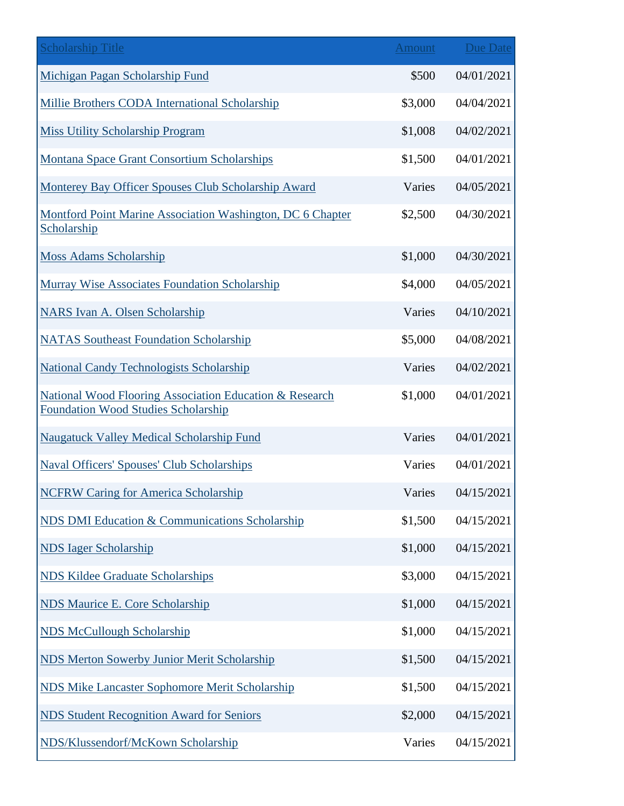| <b>Scholarship Title</b>                                                                              | <b>Amount</b> | Due Date   |
|-------------------------------------------------------------------------------------------------------|---------------|------------|
| Michigan Pagan Scholarship Fund                                                                       | \$500         | 04/01/2021 |
| Millie Brothers CODA International Scholarship                                                        | \$3,000       | 04/04/2021 |
| <b>Miss Utility Scholarship Program</b>                                                               | \$1,008       | 04/02/2021 |
| <b>Montana Space Grant Consortium Scholarships</b>                                                    | \$1,500       | 04/01/2021 |
| Monterey Bay Officer Spouses Club Scholarship Award                                                   | Varies        | 04/05/2021 |
| Montford Point Marine Association Washington, DC 6 Chapter<br>Scholarship                             | \$2,500       | 04/30/2021 |
| <b>Moss Adams Scholarship</b>                                                                         | \$1,000       | 04/30/2021 |
| <b>Murray Wise Associates Foundation Scholarship</b>                                                  | \$4,000       | 04/05/2021 |
| NARS Ivan A. Olsen Scholarship                                                                        | Varies        | 04/10/2021 |
| <b>NATAS Southeast Foundation Scholarship</b>                                                         | \$5,000       | 04/08/2021 |
| <b>National Candy Technologists Scholarship</b>                                                       | Varies        | 04/02/2021 |
| National Wood Flooring Association Education & Research<br><b>Foundation Wood Studies Scholarship</b> | \$1,000       | 04/01/2021 |
| <b>Naugatuck Valley Medical Scholarship Fund</b>                                                      | Varies        | 04/01/2021 |
| <b>Naval Officers' Spouses' Club Scholarships</b>                                                     | Varies        | 04/01/2021 |
| <b>NCFRW Caring for America Scholarship</b>                                                           | Varies        | 04/15/2021 |
| NDS DMI Education & Communications Scholarship                                                        | \$1,500       | 04/15/2021 |
| <b>NDS</b> Iager Scholarship                                                                          | \$1,000       | 04/15/2021 |
| <b>NDS Kildee Graduate Scholarships</b>                                                               | \$3,000       | 04/15/2021 |
| <b>NDS Maurice E. Core Scholarship</b>                                                                | \$1,000       | 04/15/2021 |
| <b>NDS McCullough Scholarship</b>                                                                     | \$1,000       | 04/15/2021 |
| <b>NDS Merton Sowerby Junior Merit Scholarship</b>                                                    | \$1,500       | 04/15/2021 |
| <b>NDS Mike Lancaster Sophomore Merit Scholarship</b>                                                 | \$1,500       | 04/15/2021 |
| <b>NDS Student Recognition Award for Seniors</b>                                                      | \$2,000       | 04/15/2021 |
| NDS/Klussendorf/McKown Scholarship                                                                    | Varies        | 04/15/2021 |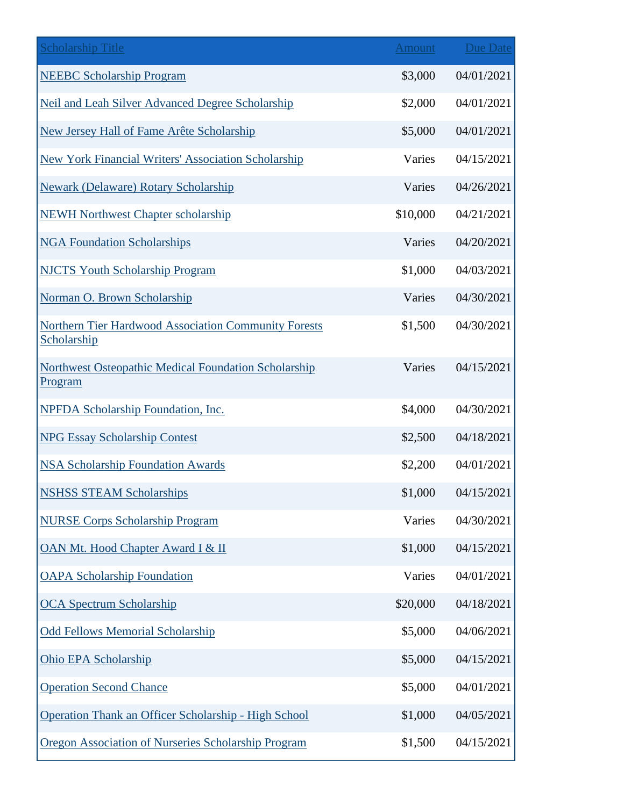| <b>Scholarship Title</b>                                                   | <b>Amount</b> | <b>Due Date</b> |
|----------------------------------------------------------------------------|---------------|-----------------|
| <b>NEEBC Scholarship Program</b>                                           | \$3,000       | 04/01/2021      |
| Neil and Leah Silver Advanced Degree Scholarship                           | \$2,000       | 04/01/2021      |
| New Jersey Hall of Fame Arête Scholarship                                  | \$5,000       | 04/01/2021      |
| <b>New York Financial Writers' Association Scholarship</b>                 | Varies        | 04/15/2021      |
| <b>Newark (Delaware) Rotary Scholarship</b>                                | Varies        | 04/26/2021      |
| <b>NEWH Northwest Chapter scholarship</b>                                  | \$10,000      | 04/21/2021      |
| <b>NGA Foundation Scholarships</b>                                         | Varies        | 04/20/2021      |
| <b>NJCTS Youth Scholarship Program</b>                                     | \$1,000       | 04/03/2021      |
| Norman O. Brown Scholarship                                                | Varies        | 04/30/2021      |
| <b>Northern Tier Hardwood Association Community Forests</b><br>Scholarship | \$1,500       | 04/30/2021      |
| <b>Northwest Osteopathic Medical Foundation Scholarship</b><br>Program     | Varies        | 04/15/2021      |
| <b>NPFDA Scholarship Foundation, Inc.</b>                                  | \$4,000       | 04/30/2021      |
| <b>NPG Essay Scholarship Contest</b>                                       | \$2,500       | 04/18/2021      |
| <b>NSA Scholarship Foundation Awards</b>                                   | \$2,200       | 04/01/2021      |
| <b>NSHSS STEAM Scholarships</b>                                            | \$1,000       | 04/15/2021      |
| <b>NURSE Corps Scholarship Program</b>                                     | Varies        | 04/30/2021      |
| OAN Mt. Hood Chapter Award I & II                                          | \$1,000       | 04/15/2021      |
| <b>OAPA Scholarship Foundation</b>                                         | Varies        | 04/01/2021      |
| <b>OCA Spectrum Scholarship</b>                                            | \$20,000      | 04/18/2021      |
| <b>Odd Fellows Memorial Scholarship</b>                                    | \$5,000       | 04/06/2021      |
| Ohio EPA Scholarship                                                       | \$5,000       | 04/15/2021      |
| <b>Operation Second Chance</b>                                             | \$5,000       | 04/01/2021      |
| Operation Thank an Officer Scholarship - High School                       | \$1,000       | 04/05/2021      |
| Oregon Association of Nurseries Scholarship Program                        | \$1,500       | 04/15/2021      |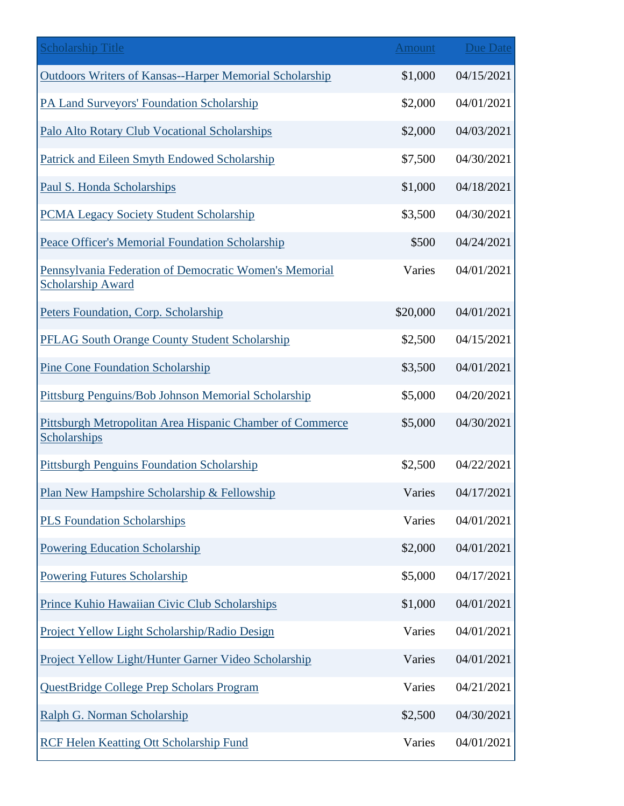| <b>Scholarship Title</b>                                                           | <b>Amount</b> | Due Date   |
|------------------------------------------------------------------------------------|---------------|------------|
| <b>Outdoors Writers of Kansas--Harper Memorial Scholarship</b>                     | \$1,000       | 04/15/2021 |
| PA Land Surveyors' Foundation Scholarship                                          | \$2,000       | 04/01/2021 |
| Palo Alto Rotary Club Vocational Scholarships                                      | \$2,000       | 04/03/2021 |
| Patrick and Eileen Smyth Endowed Scholarship                                       | \$7,500       | 04/30/2021 |
| Paul S. Honda Scholarships                                                         | \$1,000       | 04/18/2021 |
| <b>PCMA Legacy Society Student Scholarship</b>                                     | \$3,500       | 04/30/2021 |
| Peace Officer's Memorial Foundation Scholarship                                    | \$500         | 04/24/2021 |
| Pennsylvania Federation of Democratic Women's Memorial<br><b>Scholarship Award</b> | Varies        | 04/01/2021 |
| Peters Foundation, Corp. Scholarship                                               | \$20,000      | 04/01/2021 |
| <b>PFLAG South Orange County Student Scholarship</b>                               | \$2,500       | 04/15/2021 |
| <b>Pine Cone Foundation Scholarship</b>                                            | \$3,500       | 04/01/2021 |
| Pittsburg Penguins/Bob Johnson Memorial Scholarship                                | \$5,000       | 04/20/2021 |
| <b>Pittsburgh Metropolitan Area Hispanic Chamber of Commerce</b><br>Scholarships   | \$5,000       | 04/30/2021 |
| <b>Pittsburgh Penguins Foundation Scholarship</b>                                  | \$2,500       | 04/22/2021 |
| Plan New Hampshire Scholarship & Fellowship                                        | Varies        | 04/17/2021 |
| <b>PLS Foundation Scholarships</b>                                                 | Varies        | 04/01/2021 |
| <b>Powering Education Scholarship</b>                                              | \$2,000       | 04/01/2021 |
| <b>Powering Futures Scholarship</b>                                                | \$5,000       | 04/17/2021 |
| Prince Kuhio Hawaiian Civic Club Scholarships                                      | \$1,000       | 04/01/2021 |
| Project Yellow Light Scholarship/Radio Design                                      | Varies        | 04/01/2021 |
| Project Yellow Light/Hunter Garner Video Scholarship                               | Varies        | 04/01/2021 |
| QuestBridge College Prep Scholars Program                                          | Varies        | 04/21/2021 |
| Ralph G. Norman Scholarship                                                        | \$2,500       | 04/30/2021 |
| <b>RCF Helen Keatting Ott Scholarship Fund</b>                                     | Varies        | 04/01/2021 |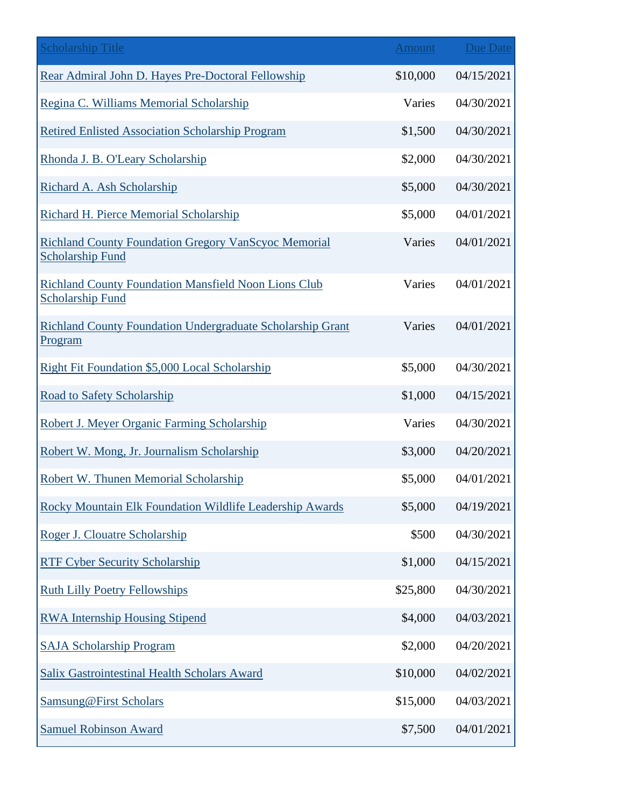| <b>Scholarship Title</b>                                                               | Amount   | <b>Due Date</b> |
|----------------------------------------------------------------------------------------|----------|-----------------|
| Rear Admiral John D. Hayes Pre-Doctoral Fellowship                                     | \$10,000 | 04/15/2021      |
| Regina C. Williams Memorial Scholarship                                                | Varies   | 04/30/2021      |
| <b>Retired Enlisted Association Scholarship Program</b>                                | \$1,500  | 04/30/2021      |
| Rhonda J. B. O'Leary Scholarship                                                       | \$2,000  | 04/30/2021      |
| Richard A. Ash Scholarship                                                             | \$5,000  | 04/30/2021      |
| Richard H. Pierce Memorial Scholarship                                                 | \$5,000  | 04/01/2021      |
| <b>Richland County Foundation Gregory VanScyoc Memorial</b><br><b>Scholarship Fund</b> | Varies   | 04/01/2021      |
| <b>Richland County Foundation Mansfield Noon Lions Club</b><br><b>Scholarship Fund</b> | Varies   | 04/01/2021      |
| <b>Richland County Foundation Undergraduate Scholarship Grant</b><br>Program           | Varies   | 04/01/2021      |
| Right Fit Foundation \$5,000 Local Scholarship                                         | \$5,000  | 04/30/2021      |
| Road to Safety Scholarship                                                             | \$1,000  | 04/15/2021      |
| Robert J. Meyer Organic Farming Scholarship                                            | Varies   | 04/30/2021      |
| Robert W. Mong, Jr. Journalism Scholarship                                             | \$3,000  | 04/20/2021      |
| Robert W. Thunen Memorial Scholarship                                                  | \$5,000  | 04/01/2021      |
| Rocky Mountain Elk Foundation Wildlife Leadership Awards                               | \$5,000  | 04/19/2021      |
| Roger J. Clouatre Scholarship                                                          | \$500    | 04/30/2021      |
| <b>RTF Cyber Security Scholarship</b>                                                  | \$1,000  | 04/15/2021      |
| <b>Ruth Lilly Poetry Fellowships</b>                                                   | \$25,800 | 04/30/2021      |
| <b>RWA Internship Housing Stipend</b>                                                  | \$4,000  | 04/03/2021      |
| <b>SAJA Scholarship Program</b>                                                        | \$2,000  | 04/20/2021      |
| <b>Salix Gastrointestinal Health Scholars Award</b>                                    | \$10,000 | 04/02/2021      |
| <b>Samsung@First Scholars</b>                                                          | \$15,000 | 04/03/2021      |
| <b>Samuel Robinson Award</b>                                                           | \$7,500  | 04/01/2021      |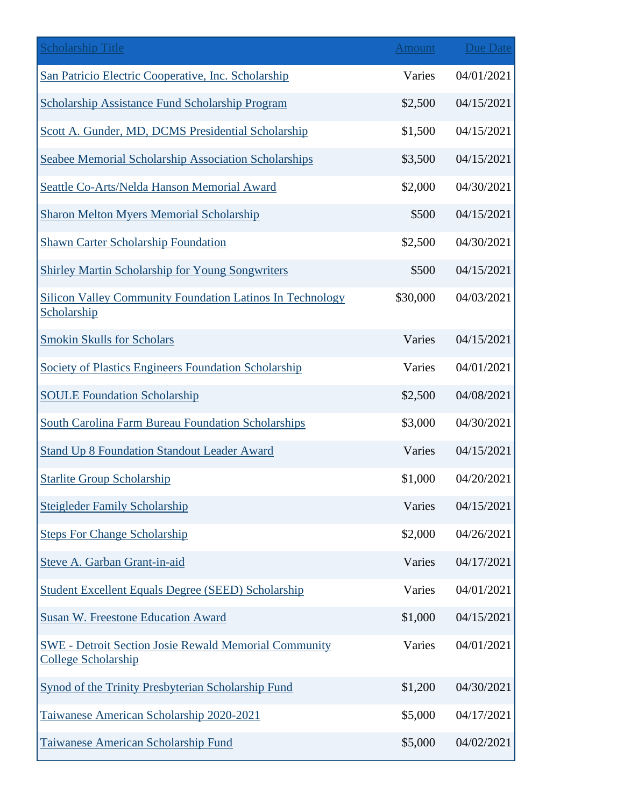| <b>Scholarship Title</b>                                                                   | <b>Amount</b> | Due Date   |
|--------------------------------------------------------------------------------------------|---------------|------------|
| San Patricio Electric Cooperative, Inc. Scholarship                                        | Varies        | 04/01/2021 |
| <b>Scholarship Assistance Fund Scholarship Program</b>                                     | \$2,500       | 04/15/2021 |
| Scott A. Gunder, MD, DCMS Presidential Scholarship                                         | \$1,500       | 04/15/2021 |
| <b>Seabee Memorial Scholarship Association Scholarships</b>                                | \$3,500       | 04/15/2021 |
| Seattle Co-Arts/Nelda Hanson Memorial Award                                                | \$2,000       | 04/30/2021 |
| <b>Sharon Melton Myers Memorial Scholarship</b>                                            | \$500         | 04/15/2021 |
| <b>Shawn Carter Scholarship Foundation</b>                                                 | \$2,500       | 04/30/2021 |
| <b>Shirley Martin Scholarship for Young Songwriters</b>                                    | \$500         | 04/15/2021 |
| <b>Silicon Valley Community Foundation Latinos In Technology</b><br>Scholarship            | \$30,000      | 04/03/2021 |
| <b>Smokin Skulls for Scholars</b>                                                          | Varies        | 04/15/2021 |
| <b>Society of Plastics Engineers Foundation Scholarship</b>                                | Varies        | 04/01/2021 |
| <b>SOULE Foundation Scholarship</b>                                                        | \$2,500       | 04/08/2021 |
| <b>South Carolina Farm Bureau Foundation Scholarships</b>                                  | \$3,000       | 04/30/2021 |
| <b>Stand Up 8 Foundation Standout Leader Award</b>                                         | Varies        | 04/15/2021 |
| <b>Starlite Group Scholarship</b>                                                          | \$1,000       | 04/20/2021 |
| <b>Steigleder Family Scholarship</b>                                                       | Varies        | 04/15/2021 |
| <b>Steps For Change Scholarship</b>                                                        | \$2,000       | 04/26/2021 |
| Steve A. Garban Grant-in-aid                                                               | Varies        | 04/17/2021 |
| <b>Student Excellent Equals Degree (SEED) Scholarship</b>                                  | Varies        | 04/01/2021 |
| <b>Susan W. Freestone Education Award</b>                                                  | \$1,000       | 04/15/2021 |
| <b>SWE - Detroit Section Josie Rewald Memorial Community</b><br><b>College Scholarship</b> | Varies        | 04/01/2021 |
| <b>Synod of the Trinity Presbyterian Scholarship Fund</b>                                  | \$1,200       | 04/30/2021 |
| Taiwanese American Scholarship 2020-2021                                                   | \$5,000       | 04/17/2021 |
| <b>Taiwanese American Scholarship Fund</b>                                                 | \$5,000       | 04/02/2021 |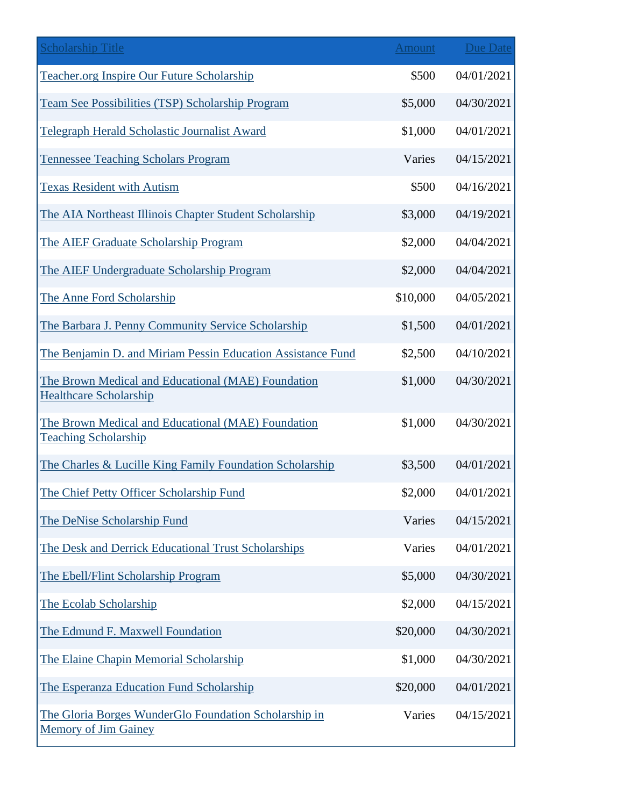| <b>Scholarship Title</b>                                                             | <b>Amount</b> | <b>Due Date</b> |
|--------------------------------------------------------------------------------------|---------------|-----------------|
| <b>Teacher.org Inspire Our Future Scholarship</b>                                    | \$500         | 04/01/2021      |
| Team See Possibilities (TSP) Scholarship Program                                     | \$5,000       | 04/30/2021      |
| Telegraph Herald Scholastic Journalist Award                                         | \$1,000       | 04/01/2021      |
| <b>Tennessee Teaching Scholars Program</b>                                           | Varies        | 04/15/2021      |
| <b>Texas Resident with Autism</b>                                                    | \$500         | 04/16/2021      |
| The AIA Northeast Illinois Chapter Student Scholarship                               | \$3,000       | 04/19/2021      |
| The AIEF Graduate Scholarship Program                                                | \$2,000       | 04/04/2021      |
| The AIEF Undergraduate Scholarship Program                                           | \$2,000       | 04/04/2021      |
| The Anne Ford Scholarship                                                            | \$10,000      | 04/05/2021      |
| The Barbara J. Penny Community Service Scholarship                                   | \$1,500       | 04/01/2021      |
| The Benjamin D. and Miriam Pessin Education Assistance Fund                          | \$2,500       | 04/10/2021      |
| The Brown Medical and Educational (MAE) Foundation<br><b>Healthcare Scholarship</b>  | \$1,000       | 04/30/2021      |
| The Brown Medical and Educational (MAE) Foundation<br><b>Teaching Scholarship</b>    | \$1,000       | 04/30/2021      |
| The Charles & Lucille King Family Foundation Scholarship                             | \$3,500       | 04/01/2021      |
| The Chief Petty Officer Scholarship Fund                                             | \$2,000       | 04/01/2021      |
| The DeNise Scholarship Fund                                                          | Varies        | 04/15/2021      |
| The Desk and Derrick Educational Trust Scholarships                                  | Varies        | 04/01/2021      |
| The Ebell/Flint Scholarship Program                                                  | \$5,000       | 04/30/2021      |
| The Ecolab Scholarship                                                               | \$2,000       | 04/15/2021      |
| The Edmund F. Maxwell Foundation                                                     | \$20,000      | 04/30/2021      |
| The Elaine Chapin Memorial Scholarship                                               | \$1,000       | 04/30/2021      |
| The Esperanza Education Fund Scholarship                                             | \$20,000      | 04/01/2021      |
| The Gloria Borges WunderGlo Foundation Scholarship in<br><b>Memory of Jim Gainey</b> | Varies        | 04/15/2021      |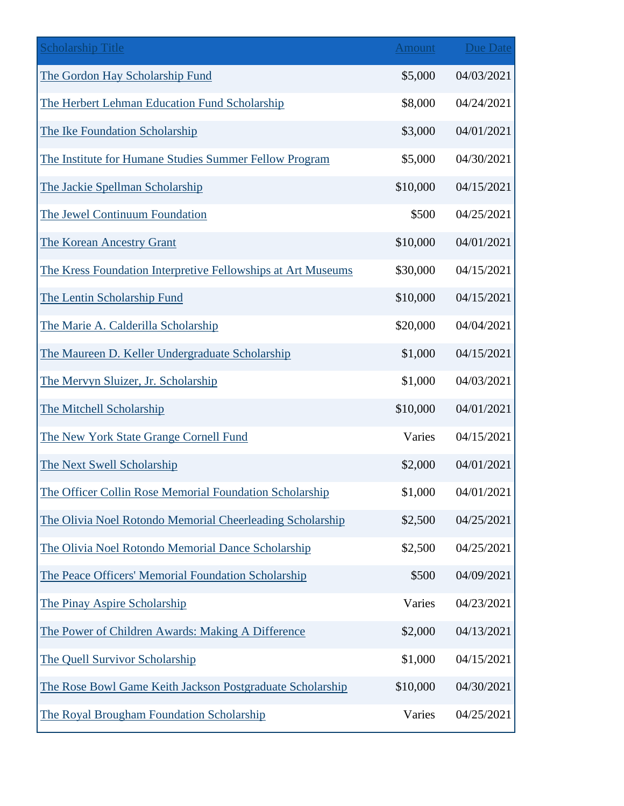| <b>Scholarship Title</b>                                     | <b>Amount</b> | <b>Due Date</b> |
|--------------------------------------------------------------|---------------|-----------------|
| The Gordon Hay Scholarship Fund                              | \$5,000       | 04/03/2021      |
| The Herbert Lehman Education Fund Scholarship                | \$8,000       | 04/24/2021      |
| The Ike Foundation Scholarship                               | \$3,000       | 04/01/2021      |
| The Institute for Humane Studies Summer Fellow Program       | \$5,000       | 04/30/2021      |
| The Jackie Spellman Scholarship                              | \$10,000      | 04/15/2021      |
| The Jewel Continuum Foundation                               | \$500         | 04/25/2021      |
| The Korean Ancestry Grant                                    | \$10,000      | 04/01/2021      |
| The Kress Foundation Interpretive Fellowships at Art Museums | \$30,000      | 04/15/2021      |
| The Lentin Scholarship Fund                                  | \$10,000      | 04/15/2021      |
| The Marie A. Calderilla Scholarship                          | \$20,000      | 04/04/2021      |
| The Maureen D. Keller Undergraduate Scholarship              | \$1,000       | 04/15/2021      |
| The Mervyn Sluizer, Jr. Scholarship                          | \$1,000       | 04/03/2021      |
| The Mitchell Scholarship                                     | \$10,000      | 04/01/2021      |
| The New York State Grange Cornell Fund                       | Varies        | 04/15/2021      |
| The Next Swell Scholarship                                   | \$2,000       | 04/01/2021      |
| The Officer Collin Rose Memorial Foundation Scholarship      | \$1,000       | 04/01/2021      |
| The Olivia Noel Rotondo Memorial Cheerleading Scholarship    | \$2,500       | 04/25/2021      |
| The Olivia Noel Rotondo Memorial Dance Scholarship           | \$2,500       | 04/25/2021      |
| The Peace Officers' Memorial Foundation Scholarship          | \$500         | 04/09/2021      |
| The Pinay Aspire Scholarship                                 | Varies        | 04/23/2021      |
| The Power of Children Awards: Making A Difference            | \$2,000       | 04/13/2021      |
| The Quell Survivor Scholarship                               | \$1,000       | 04/15/2021      |
| The Rose Bowl Game Keith Jackson Postgraduate Scholarship    | \$10,000      | 04/30/2021      |
| The Royal Brougham Foundation Scholarship                    | Varies        | 04/25/2021      |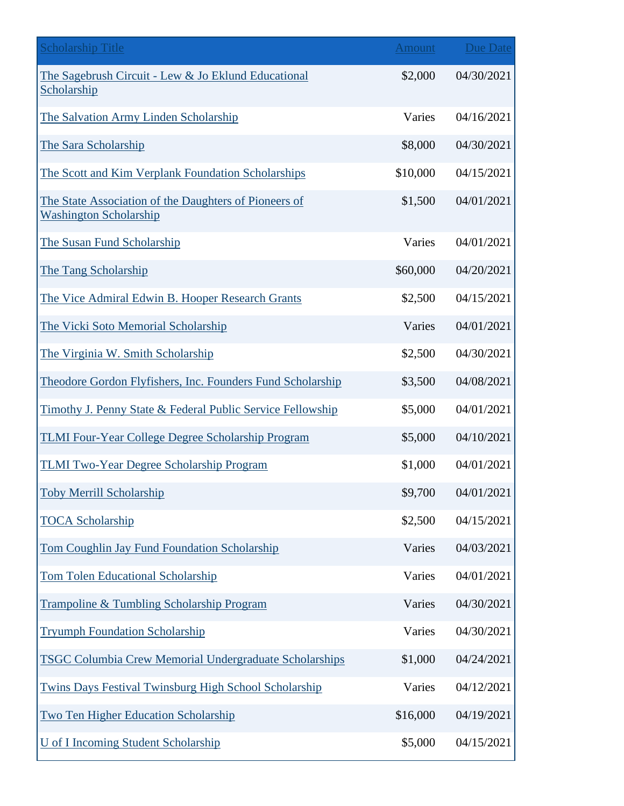| <b>Scholarship Title</b>                                                               | Amount   | Due Date   |
|----------------------------------------------------------------------------------------|----------|------------|
| The Sagebrush Circuit - Lew & Jo Eklund Educational<br>Scholarship                     | \$2,000  | 04/30/2021 |
| The Salvation Army Linden Scholarship                                                  | Varies   | 04/16/2021 |
| The Sara Scholarship                                                                   | \$8,000  | 04/30/2021 |
| The Scott and Kim Verplank Foundation Scholarships                                     | \$10,000 | 04/15/2021 |
| The State Association of the Daughters of Pioneers of<br><b>Washington Scholarship</b> | \$1,500  | 04/01/2021 |
| The Susan Fund Scholarship                                                             | Varies   | 04/01/2021 |
| The Tang Scholarship                                                                   | \$60,000 | 04/20/2021 |
| The Vice Admiral Edwin B. Hooper Research Grants                                       | \$2,500  | 04/15/2021 |
| The Vicki Soto Memorial Scholarship                                                    | Varies   | 04/01/2021 |
| The Virginia W. Smith Scholarship                                                      | \$2,500  | 04/30/2021 |
| Theodore Gordon Flyfishers, Inc. Founders Fund Scholarship                             | \$3,500  | 04/08/2021 |
| Timothy J. Penny State & Federal Public Service Fellowship                             | \$5,000  | 04/01/2021 |
| <b>TLMI Four-Year College Degree Scholarship Program</b>                               | \$5,000  | 04/10/2021 |
| TLMI Two-Year Degree Scholarship Program                                               | \$1,000  | 04/01/2021 |
| <b>Toby Merrill Scholarship</b>                                                        | \$9,700  | 04/01/2021 |
| <b>TOCA Scholarship</b>                                                                | \$2,500  | 04/15/2021 |
| Tom Coughlin Jay Fund Foundation Scholarship                                           | Varies   | 04/03/2021 |
| <b>Tom Tolen Educational Scholarship</b>                                               | Varies   | 04/01/2021 |
| Trampoline & Tumbling Scholarship Program                                              | Varies   | 04/30/2021 |
| <b>Tryumph Foundation Scholarship</b>                                                  | Varies   | 04/30/2021 |
| <b>TSGC Columbia Crew Memorial Undergraduate Scholarships</b>                          | \$1,000  | 04/24/2021 |
| Twins Days Festival Twinsburg High School Scholarship                                  | Varies   | 04/12/2021 |
| <b>Two Ten Higher Education Scholarship</b>                                            | \$16,000 | 04/19/2021 |
| <b>U</b> of I Incoming Student Scholarship                                             | \$5,000  | 04/15/2021 |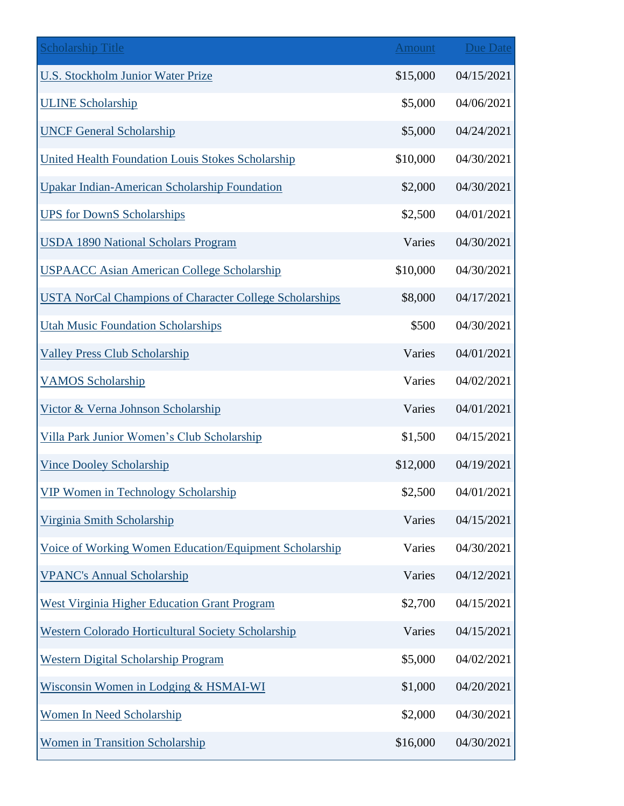| <b>Scholarship Title</b>                                       | Amount   | <b>Due Date</b> |
|----------------------------------------------------------------|----------|-----------------|
| <b>U.S. Stockholm Junior Water Prize</b>                       | \$15,000 | 04/15/2021      |
| <b>ULINE Scholarship</b>                                       | \$5,000  | 04/06/2021      |
| <b>UNCF General Scholarship</b>                                | \$5,000  | 04/24/2021      |
| <b>United Health Foundation Louis Stokes Scholarship</b>       | \$10,000 | 04/30/2021      |
| <b>Upakar Indian-American Scholarship Foundation</b>           | \$2,000  | 04/30/2021      |
| <b>UPS for DownS Scholarships</b>                              | \$2,500  | 04/01/2021      |
| <b>USDA 1890 National Scholars Program</b>                     | Varies   | 04/30/2021      |
| <b>USPAACC Asian American College Scholarship</b>              | \$10,000 | 04/30/2021      |
| <b>USTA NorCal Champions of Character College Scholarships</b> | \$8,000  | 04/17/2021      |
| <b>Utah Music Foundation Scholarships</b>                      | \$500    | 04/30/2021      |
| <b>Valley Press Club Scholarship</b>                           | Varies   | 04/01/2021      |
| <b>VAMOS Scholarship</b>                                       | Varies   | 04/02/2021      |
| Victor & Verna Johnson Scholarship                             | Varies   | 04/01/2021      |
| Villa Park Junior Women's Club Scholarship                     | \$1,500  | 04/15/2021      |
| <b>Vince Dooley Scholarship</b>                                | \$12,000 | 04/19/2021      |
| <b>VIP Women in Technology Scholarship</b>                     | \$2,500  | 04/01/2021      |
| Virginia Smith Scholarship                                     | Varies   | 04/15/2021      |
| Voice of Working Women Education/Equipment Scholarship         | Varies   | 04/30/2021      |
| <b>VPANC's Annual Scholarship</b>                              | Varies   | 04/12/2021      |
| <b>West Virginia Higher Education Grant Program</b>            | \$2,700  | 04/15/2021      |
| Western Colorado Horticultural Society Scholarship             | Varies   | 04/15/2021      |
| <b>Western Digital Scholarship Program</b>                     | \$5,000  | 04/02/2021      |
| Wisconsin Women in Lodging & HSMAI-WI                          | \$1,000  | 04/20/2021      |
| <b>Women In Need Scholarship</b>                               | \$2,000  | 04/30/2021      |
| <b>Women in Transition Scholarship</b>                         | \$16,000 | 04/30/2021      |